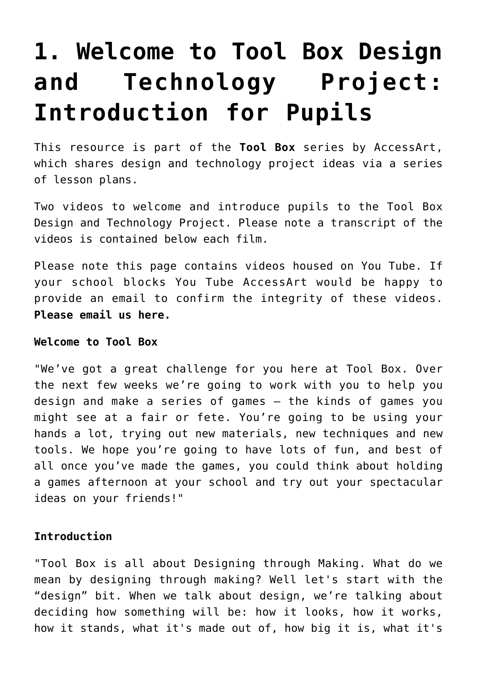## **[1. Welcome to Tool Box Design](https://www.accessart.org.uk/1-welcome-to-tool-box-introduction-for-pupils/) [and Technology Project:](https://www.accessart.org.uk/1-welcome-to-tool-box-introduction-for-pupils/) [Introduction for Pupils](https://www.accessart.org.uk/1-welcome-to-tool-box-introduction-for-pupils/)**

This resource is part of the **[Tool Box](https://www.accessart.org.uk/tool-box-resources-for-pupils-and-teachers-supporting-design-and-technology-in-schools/)** series by AccessArt, which shares design and technology project ideas via a series of lesson plans.

Two videos to welcome and introduce pupils to the Tool Box Design and Technology Project. Please note a transcript of the videos is contained below each film.

Please note this page contains videos housed on You Tube. If your school blocks You Tube AccessArt would be happy to provide an email to confirm the integrity of these videos. **[Please email us here.](mailto:info@accessart.org.uk)** 

## **Welcome to Tool Box**

"We've got a great challenge for you here at Tool Box. Over the next few weeks we're going to work with you to help you design and make a series of games – the kinds of games you might see at a fair or fete. You're going to be using your hands a lot, trying out new materials, new techniques and new tools. We hope you're going to have lots of fun, and best of all once you've made the games, you could think about holding a games afternoon at your school and try out your spectacular ideas on your friends!"

## **Introduction**

"Tool Box is all about Designing through Making. What do we mean by designing through making? Well let's start with the "design" bit. When we talk about design, we're talking about deciding how something will be: how it looks, how it works, how it stands, what it's made out of, how big it is, what it's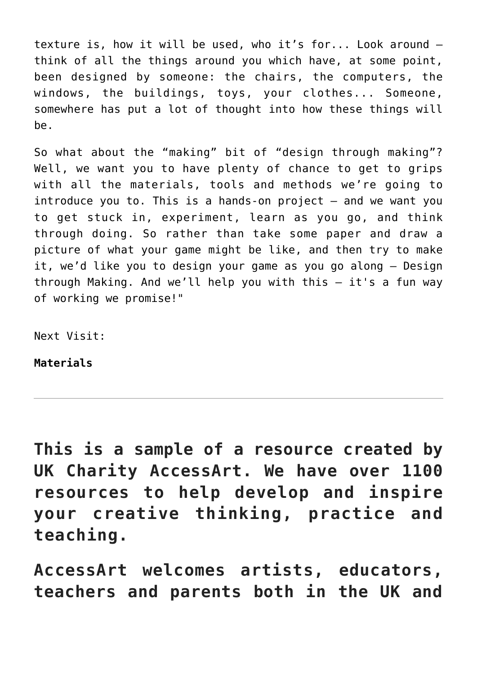texture is, how it will be used, who it's for... Look around – think of all the things around you which have, at some point, been designed by someone: the chairs, the computers, the windows, the buildings, toys, your clothes... Someone, somewhere has put a lot of thought into how these things will be.

So what about the "making" bit of "design through making"? Well, we want you to have plenty of chance to get to grips with all the materials, tools and methods we're going to introduce you to. This is a hands-on project  $-$  and we want you to get stuck in, experiment, learn as you go, and think through doing. So rather than take some paper and draw a picture of what your game might be like, and then try to make it, we'd like you to design your game as you go along – Design through Making. And we'll help you with this – it's a fun way of working we promise!"

Next Visit:

**[Materials](https://www.accessart.org.uk/?p=4745)**

**This is a sample of a resource created by UK Charity AccessArt. We have over 1100 resources to help develop and inspire your creative thinking, practice and teaching.**

**AccessArt welcomes artists, educators, teachers and parents both in the UK and**